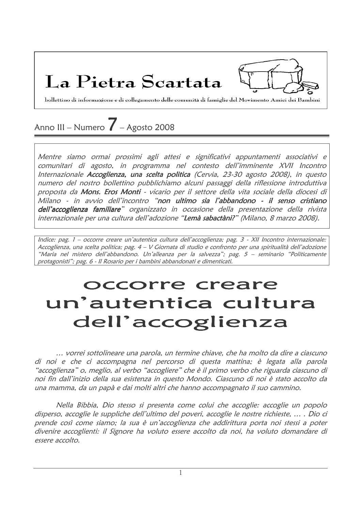La Pietra Scartata

bollettino di informazione e di collegamento delle comunità di famiglie del Movimento Amici dei Bambini

# Anno III – Numero  $\overline{Z}$  – Agosto 2008

Mentre siamo ormai prossimi agli attesi e significativi appuntamenti associativi e comunitari di agosto, in programma nel contesto dell'imminente XVII Incontro Internazionale Accoglienza, una scelta politica (Cervia, 23-30 agosto 2008), in questo numero del nostro bollettino pubblichiamo alcuni passaggi della riflessione introduttiva proposta da Mons. Eros Monti - vicario per il settore della vita sociale della diocesi di Milano - in avvio dell'incontro "non ultimo sia l'abbandono - il senso cristiano dell'accoglienza familiare" organizzato in occasione della presentazione della rivista internazionale per una cultura dell'adozione "Lemà sabactàni?" (Milano, 8 marzo 2008).

Indice: pag. 1 – occorre creare un'autentica cultura dell'accoglienza; pag. 3 - XII Incontro internazionale: Accoglienza, una scelta politica; pag. 4 – V Giornata di studio e confronto per una spiritualità dell'adozione "Maria nel mistero dell'abbandono. Un'alleanza per la salvezza"; pag. 5 – seminario "Politicamente protagonisti"; pag. 6 - Il Rosario per i bambini abbandonati e dimenticati.

# occorre creare un'autentica cultura dell'accoglienza

... vorrei sottolineare una parola, un termine chiave, che ha molto da dire a ciascuno di noi e che ci accompagna nel percorso di questa mattina; è legata alla parola "accoglienza" o, meglio, al verbo "accogliere" che è il primo verbo che riguarda ciascuno di noi fin dall'inizio della sua esistenza in questo Mondo. Ciascuno di noi è stato accolto da una mamma, da un papà e dai molti altri che hanno accompagnato il suo cammino.

Nella Bibbia, Dio stesso si presenta come colui che accoglie: accoglie un popolo disperso, accoglie le suppliche dell'ultimo del poveri, accoglie le nostre richieste, ... . Dio ci prende così come siamo; la sua è un'accoglienza che addirittura porta noi stessi a poter divenire accoglienti: il Signore ha voluto essere accolto da noi, ha voluto domandare di essere accolto.

 $\mathbf{1}$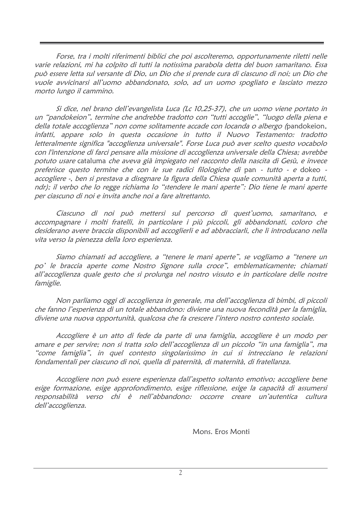Forse, tra i molti riferimenti biblici che poi ascolteremo, opportunamente riletti nelle varie relazioni, mi ha colpito di tutti la notissima parabola detta del buon samaritano. Essa può essere letta sul versante di Dio, un Dio che si prende cura di ciascuno di noi; un Dio che vuole avvicinarsi all'uomo abbandonato, solo, ad un uomo spogliato e lasciato mezzo morto lungo il cammino.

Si dice, nel brano dell'evangelista Luca (Lc 10,25-37), che un uomo viene portato in un "pandokeion", termine che andrebbe tradotto con "tutti accoglie", "luogo della piena e della totale accoglienza" non come solitamente accade con locanda o albergo (pandokeion, infatti, appare solo in questa occasione in tutto il Nuovo Testamento: tradotto letteralmente significa "accoglienza universale". Forse Luca può aver scelto questo vocabolo con l'intenzione di farci pensare alla missione di accoglienza universale della Chiesa; avrebbe potuto usare cataluma che aveva già impiegato nel racconto della nascita di Gesù, e invece preferisce questo termine che con le sue radici filologiche di pan - tutto - e dokeo accogliere -, ben si prestava a disegnare la figura della Chiesa quale comunità aperta a tutti, ndr); il verbo che lo regge richiama lo "stendere le mani aperte": Dio tiene le mani aperte per ciascuno di noi e invita anche noi a fare altrettanto.

Ciascuno di noi può mettersi sul percorso di quest'uomo, samaritano, e accompagnare i molti fratelli, in particolare i più piccoli, gli abbandonati, coloro che desiderano avere braccia disponibili ad accoglierli e ad abbracciarli, che li introducano nella vita verso la pienezza della loro esperienza.

Siamo chiamati ad accogliere, a "tenere le mani aperte", se vogliamo a "tenere un po' le braccia aperte come Nostro Signore sulla croce", emblematicamente; chiamati all'accoglienza quale gesto che si prolunga nel nostro vissuto e in particolare delle nostre famiglie.

Non parliamo oggi di accoglienza in generale, ma dell'accoglienza di bimbi, di piccoli che fanno l'esperienza di un totale abbandono: diviene una nuova fecondità per la famiglia. diviene una nuova opportunità, qualcosa che fa crescere l'intero nostro contesto sociale.

Accogliere è un atto di fede da parte di una famiglia, accogliere è un modo per amare e per servire; non si tratta solo dell'accoglienza di un piccolo "in una famiglia", ma "come famiglia", in quel contesto singolarissimo in cui si intrecciano le relazioni fondamentali per ciascuno di noi, quella di paternità, di maternità, di fratellanza.

Accogliere non può essere esperienza dall'aspetto soltanto emotivo; accogliere bene esige formazione, esige approfondimento, esige riflessione, esige la capacità di assumersi responsabilità verso chi è nell'abbandono: occorre creare un'autentica cultura dell'accoglienza.

Mons. Eros Monti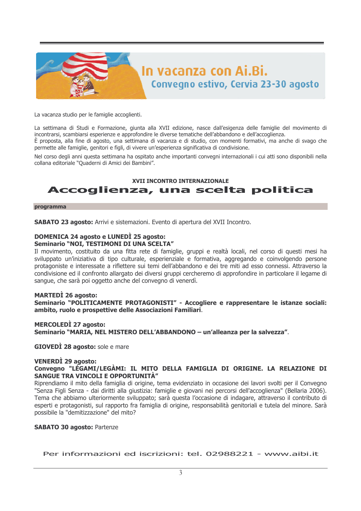

La vacanza studio per le famiglie accoglienti.

La settimana di Studi e Formazione, giunta alla XVII edizione, nasce dall'esigenza delle famiglie del movimento di incontrarsi, scambiarsi esperienze e approfondire le diverse tematiche dell'abbandono e dell'accoglienza. È proposta, alla fine di agosto, una settimana di vacanza e di studio, con momenti formativi, ma anche di svago che permette alle famiglie, genitori e figli, di vivere un'esperienza significativa di condivisione.

Nel corso degli anni questa settimana ha ospitato anche importanti convegni internazionali i cui atti sono disponibili nella collana editoriale "Quaderni di Amici dei Bambini".

### **XVII INCONTRO INTERNAZIONALE** Accoglienza, una scelta politica

#### programma

SABATO 23 agosto: Arrivi e sistemazioni. Evento di apertura del XVII Incontro.

#### **DOMENICA 24 agosto e LUNEDÌ 25 agosto:** Seminario "NOI, TESTIMONI DI UNA SCELTA"

Il movimento, costituito da una fitta rete di famiglie, gruppi e realtà locali, nel corso di questi mesi ha sviluppato un'iniziativa di tipo culturale, esperienziale e formativa, aggregando e coinvolgendo persone protagoniste e interessate a riflettere sui temi dell'abbandono e dei tre miti ad esso connessi. Attraverso la condivisione ed il confronto allargato dei diversi gruppi cercheremo di approfondire in particolare il legame di sangue, che sarà poi oggetto anche del convegno di venerdì.

### **MARTEDI** 26 agosto:

Seminario "POLITICAMENTE PROTAGONISTI" - Accogliere e rappresentare le istanze sociali: ambito, ruolo e prospettive delle Associazioni Familiari.

### **MERCOLEDI** 27 agosto: Seminario "MARIA, NEL MISTERO DELL'ABBANDONO - un'alleanza per la salvezza".

**GIOVEDI 28 agosto:** sole e mare

#### **VENERDI** 29 agosto:

Convegno "LÉGAMI/LEGÀMI: IL MITO DELLA FAMIGLIA DI ORIGINE. LA RELAZIONE DI **SANGUE TRA VINCOLI E OPPORTUNITÀ"** 

Riprendiamo il mito della famiglia di origine, tema evidenziato in occasione dei lavori svolti per il Convegno "Senza Figli Senza - dai diritti alla giustizia: famiglie e giovani nei percorsi dell'accoglienza" (Bellaria 2006). Tema che abbiamo ulteriormente sviluppato; sarà questa l'occasione di indagare, attraverso il contributo di esperti e protagonisti, sul rapporto fra famiglia di origine, responsabilità genitoriali e tutela del minore. Sarà possibile la "demitizzazione" del mito?

### **SABATO 30 agosto: Partenze**

Per informazioni ed iscrizioni: tel. 02988221 - www.aibi.it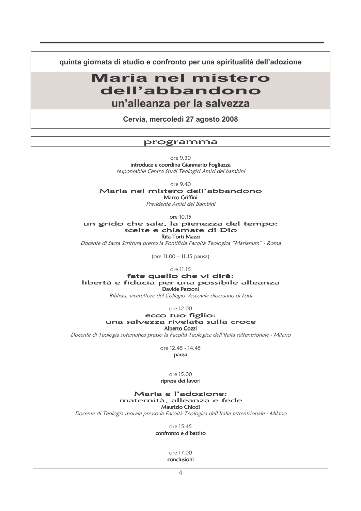quinta giornata di studio e confronto per una spiritualità dell'adozione

# Maria nel mistero dell'abbandono un'alleanza per la salvezza

Cervia, mercoledì 27 agosto 2008

### programma

ore 9.30 introduce e coordina Gianmario Fogliazza responsabile Centro Studi Teologici Amici dei bambini

ore 9.40

Maria nel mistero dell'abbandono

Marco Griffini

Presidente Amici dei Bambini

ore 10.15

un grido che sale, la pienezza del tempo: scelte e chiamate di Dio **Rita Torti Mazzi** 

Docente di Sacra Scrittura presso la Pontificia Facoltà Teologica "Marianum" - Roma

(ore 11.00 - 11.15 pausa)

ore 11.15

fate quello che vi dirà: libertà e fiducia per una possibile alleanza Davide Pezzoni

Biblista, vicerettore del Collegio Vescovile diocesano di Lodi

ore 12.00

ecco tuo figlio: una salvezza rivelata sulla croce Alberto Cozzi

Docente di Teologia sistematica presso la Facoltà Teologica dell'Italia settentrionale - Milano

ore 12.45 - 14.45

pausa

ore 15.00 ripresa dei lavori

#### Maria e l'adozione: maternità, alleanza e fede **Maurizio Chiodi**

Docente di Teologia morale presso la Facoltà Teologica dell'Italia settentrionale - Milano

ore 15.45 confronto e dibattito

> ore 17.00 conclusioni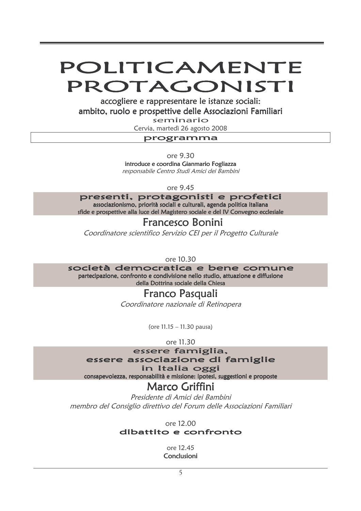# POLITICAMENTE PROTAGONISTI

accogliere e rappresentare le istanze sociali: ambito, ruolo e prospettive delle Associazioni Familiari

seminario

Cervia, martedì 26 agosto 2008

### programma

ore 9.30

introduce e coordina Gianmario Fogliazza responsabile Centro Studi Amici dei Bambini

ore 9.45

presenti, protagonisti e profetici associazionismo, priorità sociali e culturali, agenda politica italiana sfide e prospettive alla luce del Magistero sociale e del IV Convegno ecclesiale

# Francesco Bonini

Coordinatore scientifico Servizio CEI per il Progetto Culturale

ore 10.30

società democratica e bene comune partecipazione, confronto e condivisione nello studio, attuazione e diffusione

della Dottrina sociale della Chiesa

# **Franco Pasquali**

Coordinatore nazionale di Retinopera

(ore  $11.15 - 11.30$  pausa)

ore 11.30

essere famiglia,

essere associazione di famiglie

### in Italia oggi

consapevolezza, responsabilità e missione: ipotesi, suggestioni e proposte

# Marco Griffini

Presidente di Amici dei Bambini membro del Consiglio direttivo del Forum delle Associazioni Familiari

ore 12.00

### dibattito e confronto

ore 12.45 Conclusioni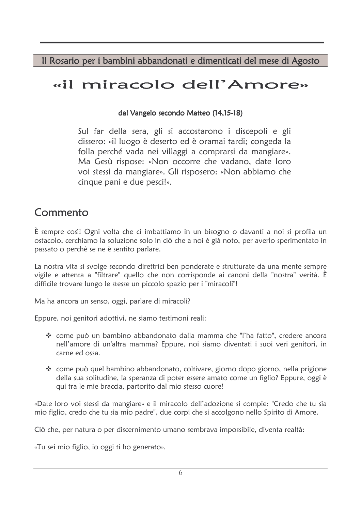Il Rosario per i bambini abbandonati e dimenticati del mese di Agosto

# «il miracolo dell'Amore»

### dal Vangelo secondo Matteo (14,15-18)

Sul far della sera, gli si accostarono i discepoli e gli dissero: «il luogo è deserto ed è oramai tardi; congeda la folla perché vada nei villaggi a comprarsi da mangiare». Ma Gesù rispose: «Non occorre che vadano, date loro voi stessi da mangiare». Gli risposero: «Non abbiamo che cinque pani e due pesci!».

# Commento

È sempre così! Ogni volta che ci imbattiamo in un bisogno o davanti a noi si profila un ostacolo, cerchiamo la soluzione solo in ciò che a noi è già noto, per averlo sperimentato in passato o perchè se ne è sentito parlare.

La nostra vita si svolge secondo direttrici ben ponderate e strutturate da una mente sempre vigile e attenta a "filtrare" quello che non corrisponde ai canoni della "nostra" verità. È difficile trovare lungo le stesse un piccolo spazio per i "miracoli"!

Ma ha ancora un senso, oggi, parlare di miracoli?

Eppure, noi genitori adottivi, ne siamo testimoni reali:

- \* come può un bambino abbandonato dalla mamma che "l'ha fatto", credere ancora nell'amore di un'altra mamma? Eppure, noi siamo diventati i suoi veri genitori, in carne ed ossa.
- \* come può quel bambino abbandonato, coltivare, giorno dopo giorno, nella prigione della sua solitudine, la speranza di poter essere amato come un figlio? Eppure, oggi è qui tra le mie braccia, partorito dal mio stesso cuore!

«Date loro voi stessi da mangiare» e il miracolo dell'adozione si compie: "Credo che tu sia mio figlio, credo che tu sia mio padre", due corpi che si accolgono nello Spirito di Amore.

Ciò che, per natura o per discernimento umano sembrava impossibile, diventa realtà:

«Tu sei mio figlio, io oggi ti ho generato».